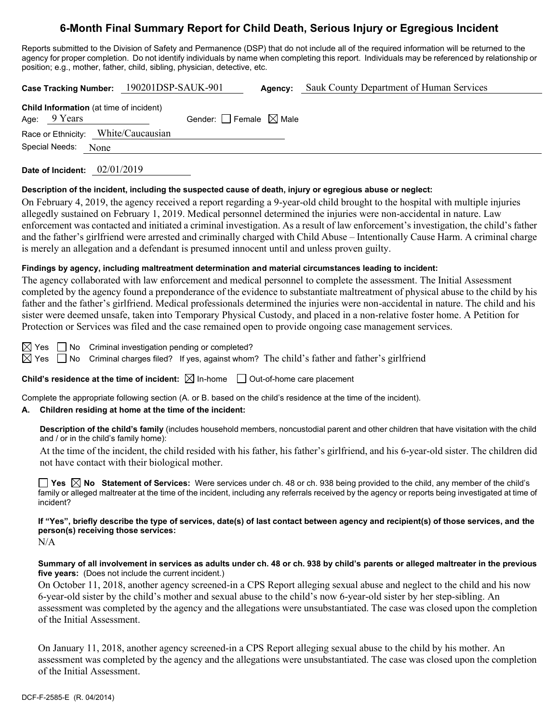# **6-Month Final Summary Report for Child Death, Serious Injury or Egregious Incident**

Reports submitted to the Division of Safety and Permanence (DSP) that do not include all of the required information will be returned to the agency for proper completion. Do not identify individuals by name when completing this report. Individuals may be referenced by relationship or position; e.g., mother, father, child, sibling, physician, detective, etc.

**Case Tracking Number:** 190201DSP-SAUK-901 **Agency:** Sauk County Department of Human Services

| <b>Child Information</b> (at time of incident)<br>Age: $9$ Years |                                     | Gender: $\Box$ Female $\boxtimes$ Male |  |
|------------------------------------------------------------------|-------------------------------------|----------------------------------------|--|
|                                                                  | Race or Ethnicity: White/Caucausian |                                        |  |
| Special Needs:                                                   | None                                |                                        |  |

**Date of Incident:** 02/01/2019

### **Description of the incident, including the suspected cause of death, injury or egregious abuse or neglect:**

On February 4, 2019, the agency received a report regarding a 9-year-old child brought to the hospital with multiple injuries allegedly sustained on February 1, 2019. Medical personnel determined the injuries were non-accidental in nature. Law enforcement was contacted and initiated a criminal investigation. As a result of law enforcement's investigation, the child's father and the father's girlfriend were arrested and criminally charged with Child Abuse – Intentionally Cause Harm. A criminal charge is merely an allegation and a defendant is presumed innocent until and unless proven guilty.

### **Findings by agency, including maltreatment determination and material circumstances leading to incident:**

The agency collaborated with law enforcement and medical personnel to complete the assessment. The Initial Assessment completed by the agency found a preponderance of the evidence to substantiate maltreatment of physical abuse to the child by his father and the father's girlfriend. Medical professionals determined the injuries were non-accidental in nature. The child and his sister were deemed unsafe, taken into Temporary Physical Custody, and placed in a non-relative foster home. A Petition for Protection or Services was filed and the case remained open to provide ongoing case management services.

 $\boxtimes$  Yes  $\Box$  No Criminal investigation pending or completed?

 $\boxtimes$  Yes  $\Box$  No Criminal charges filed? If yes, against whom? The child's father and father's girlfriend

**Child's residence at the time of incident:**  $\boxtimes$  In-home  $\Box$  Out-of-home care placement

Complete the appropriate following section (A. or B. based on the child's residence at the time of the incident).

### **A. Children residing at home at the time of the incident:**

**Description of the child's family** (includes household members, noncustodial parent and other children that have visitation with the child and / or in the child's family home):

At the time of the incident, the child resided with his father, his father's girlfriend, and his 6-year-old sister. The children did not have contact with their biological mother.

**Yes No Statement of Services:** Were services under ch. 48 or ch. 938 being provided to the child, any member of the child's family or alleged maltreater at the time of the incident, including any referrals received by the agency or reports being investigated at time of incident?

# **If "Yes", briefly describe the type of services, date(s) of last contact between agency and recipient(s) of those services, and the person(s) receiving those services:**

N/A

### **Summary of all involvement in services as adults under ch. 48 or ch. 938 by child's parents or alleged maltreater in the previous five years:** (Does not include the current incident.)

On October 11, 2018, another agency screened-in a CPS Report alleging sexual abuse and neglect to the child and his now 6-year-old sister by the child's mother and sexual abuse to the child's now 6-year-old sister by her step-sibling. An assessment was completed by the agency and the allegations were unsubstantiated. The case was closed upon the completion of the Initial Assessment.

On January 11, 2018, another agency screened-in a CPS Report alleging sexual abuse to the child by his mother. An assessment was completed by the agency and the allegations were unsubstantiated. The case was closed upon the completion of the Initial Assessment.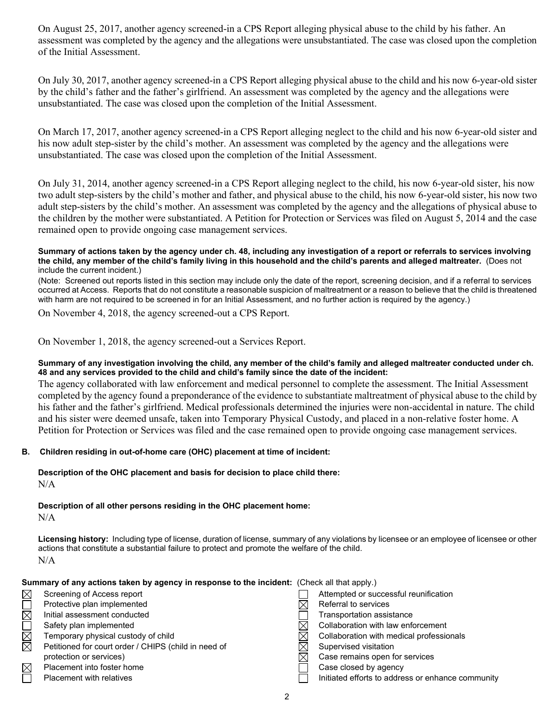On August 25, 2017, another agency screened-in a CPS Report alleging physical abuse to the child by his father. An assessment was completed by the agency and the allegations were unsubstantiated. The case was closed upon the completion of the Initial Assessment.

On July 30, 2017, another agency screened-in a CPS Report alleging physical abuse to the child and his now 6-year-old sister by the child's father and the father's girlfriend. An assessment was completed by the agency and the allegations were unsubstantiated. The case was closed upon the completion of the Initial Assessment.

On March 17, 2017, another agency screened-in a CPS Report alleging neglect to the child and his now 6-year-old sister and his now adult step-sister by the child's mother. An assessment was completed by the agency and the allegations were unsubstantiated. The case was closed upon the completion of the Initial Assessment.

On July 31, 2014, another agency screened-in a CPS Report alleging neglect to the child, his now 6-year-old sister, his now two adult step-sisters by the child's mother and father, and physical abuse to the child, his now 6-year-old sister, his now two adult step-sisters by the child's mother. An assessment was completed by the agency and the allegations of physical abuse to the children by the mother were substantiated. A Petition for Protection or Services was filed on August 5, 2014 and the case remained open to provide ongoing case management services.

#### **Summary of actions taken by the agency under ch. 48, including any investigation of a report or referrals to services involving the child, any member of the child's family living in this household and the child's parents and alleged maltreater.** (Does not include the current incident.)

(Note: Screened out reports listed in this section may include only the date of the report, screening decision, and if a referral to services occurred at Access. Reports that do not constitute a reasonable suspicion of maltreatment or a reason to believe that the child is threatened with harm are not required to be screened in for an Initial Assessment, and no further action is required by the agency.)

On November 4, 2018, the agency screened-out a CPS Report.

On November 1, 2018, the agency screened-out a Services Report.

### **Summary of any investigation involving the child, any member of the child's family and alleged maltreater conducted under ch. 48 and any services provided to the child and child's family since the date of the incident:**

The agency collaborated with law enforcement and medical personnel to complete the assessment. The Initial Assessment completed by the agency found a preponderance of the evidence to substantiate maltreatment of physical abuse to the child by his father and the father's girlfriend. Medical professionals determined the injuries were non-accidental in nature. The child and his sister were deemed unsafe, taken into Temporary Physical Custody, and placed in a non-relative foster home. A Petition for Protection or Services was filed and the case remained open to provide ongoing case management services.

### **B. Children residing in out-of-home care (OHC) placement at time of incident:**

### **Description of the OHC placement and basis for decision to place child there:**  $N/A$

**Description of all other persons residing in the OHC placement home:** N/A

**Licensing history:** Including type of license, duration of license, summary of any violations by licensee or an employee of licensee or other actions that constitute a substantial failure to protect and promote the welfare of the child. N/A

**Summary of any actions taken by agency in response to the incident:** (Check all that apply.)

| ⊠           | Screening of Access report                           | Attempted or successful reunification             |
|-------------|------------------------------------------------------|---------------------------------------------------|
|             | Protective plan implemented                          | Referral to services                              |
| $\boxtimes$ | Initial assessment conducted                         | Transportation assistance                         |
|             | Safety plan implemented                              | Collaboration with law enforcement                |
| $\boxtimes$ | Temporary physical custody of child                  | Collaboration with medical professionals          |
| ⊠           | Petitioned for court order / CHIPS (child in need of | Supervised visitation                             |
|             | protection or services)                              | Case remains open for services                    |
| $\boxtimes$ | Placement into foster home                           | Case closed by agency                             |
|             | <b>Placement with relatives</b>                      | Initiated efforts to address or enhance community |